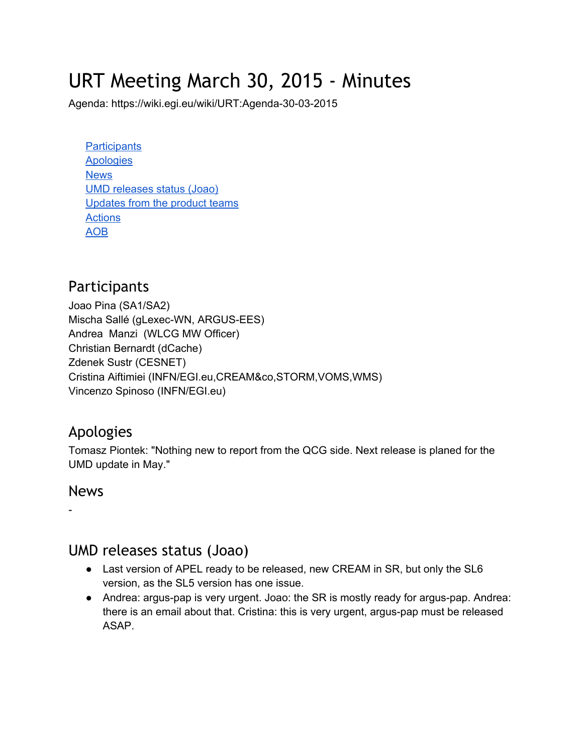# URT Meeting March 30, 2015 - Minutes

Agenda: https://wiki.egi.eu/wiki/URT:Agenda-30-03-2015

**[Participants](#page-0-0) [Apologies](#page-0-1) [News](#page-0-2)** UMD [releases](#page-0-3) status (Joao) [Updates](#page-1-0) from the product teams **[Actions](#page-1-1)** [AOB](#page-1-2)

### <span id="page-0-0"></span>**Participants**

Joao Pina (SA1/SA2) Mischa Sallé (gLexec-WN, ARGUS-EES) Andrea Manzi (WLCG MW Officer) Christian Bernardt (dCache) Zdenek Sustr (CESNET) Cristina Aiftimiei (INFN/EGI.eu,CREAM&co,STORM,VOMS,WMS) Vincenzo Spinoso (INFN/EGI.eu)

#### <span id="page-0-1"></span>Apologies

Tomasz Piontek: "Nothing new to report from the QCG side. Next release is planed for the UMD update in May."

#### <span id="page-0-2"></span>News

 $\overline{\phantom{a}}$ 

## <span id="page-0-3"></span>UMD releases status (Joao)

- Last version of APEL ready to be released, new CREAM in SR, but only the SL6 version, as the SL5 version has one issue.
- Andrea: argus-pap is very urgent. Joao: the SR is mostly ready for argus-pap. Andrea: there is an email about that. Cristina: this is very urgent, argus-pap must be released ASAP.